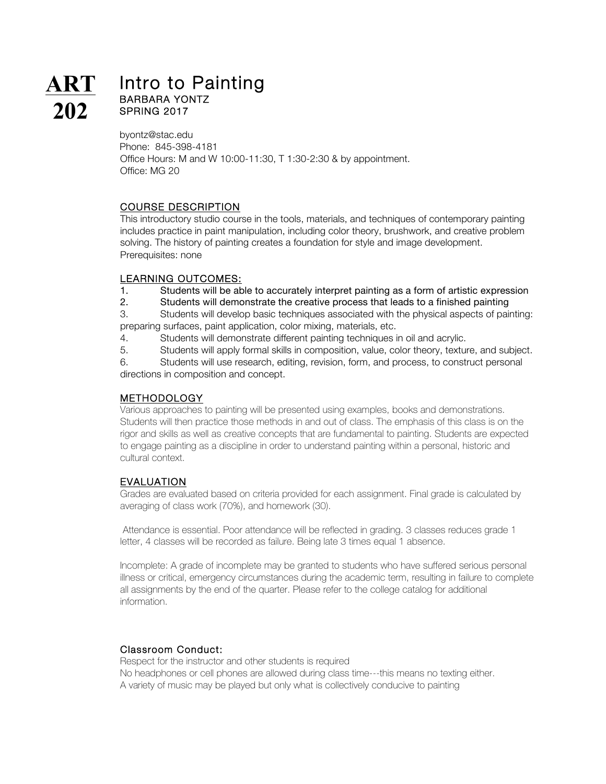byontz@stac.edu Phone: 845-398-4181 Office Hours: M and W 10:00-11:30, T 1:30-2:30 & by appointment. Office: MG 20

# COURSE DESCRIPTION

This introductory studio course in the tools, materials, and techniques of contemporary painting includes practice in paint manipulation, including color theory, brushwork, and creative problem solving. The history of painting creates a foundation for style and image development. Prerequisites: none

#### LEARNING OUTCOMES:

1. Students will be able to accurately interpret painting as a form of artistic expression

2. Students will demonstrate the creative process that leads to a finished painting

3. Students will develop basic techniques associated with the physical aspects of painting: preparing surfaces, paint application, color mixing, materials, etc.

- 4. Students will demonstrate different painting techniques in oil and acrylic.
- 5. Students will apply formal skills in composition, value, color theory, texture, and subject.

6. Students will use research, editing, revision, form, and process, to construct personal directions in composition and concept.

# METHODOLOGY

Various approaches to painting will be presented using examples, books and demonstrations. Students will then practice those methods in and out of class. The emphasis of this class is on the rigor and skills as well as creative concepts that are fundamental to painting. Students are expected to engage painting as a discipline in order to understand painting within a personal, historic and cultural context.

# EVALUATION

Grades are evaluated based on criteria provided for each assignment. Final grade is calculated by averaging of class work (70%), and homework (30).

Attendance is essential. Poor attendance will be reflected in grading. 3 classes reduces grade 1 letter, 4 classes will be recorded as failure. Being late 3 times equal 1 absence.

Incomplete: A grade of incomplete may be granted to students who have suffered serious personal illness or critical, emergency circumstances during the academic term, resulting in failure to complete all assignments by the end of the quarter. Please refer to the college catalog for additional information.

## Classroom Conduct:

Respect for the instructor and other students is required No headphones or cell phones are allowed during class time---this means no texting either. A variety of music may be played but only what is collectively conducive to painting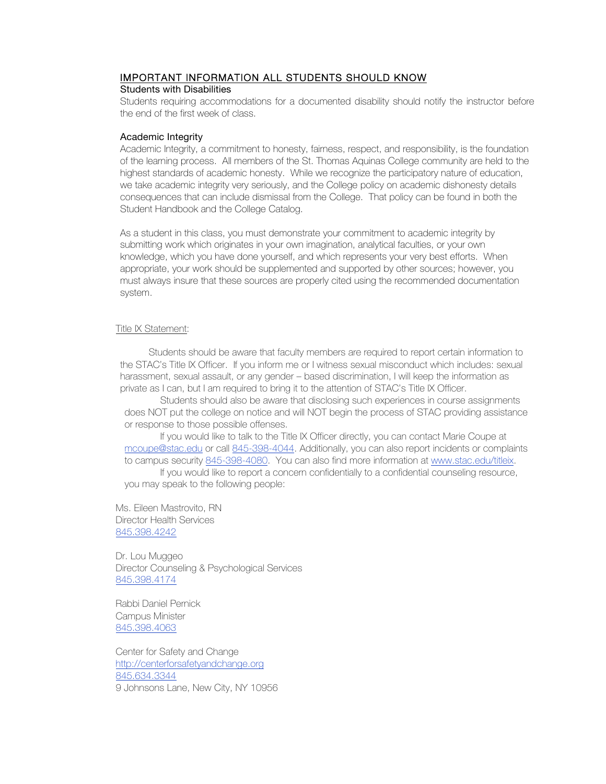# IMPORTANT INFORMATION ALL STUDENTS SHOULD KNOW

#### Students with Disabilities

Students requiring accommodations for a documented disability should notify the instructor before the end of the first week of class.

#### Academic Integrity

Academic Integrity, a commitment to honesty, fairness, respect, and responsibility, is the foundation of the learning process. All members of the St. Thomas Aquinas College community are held to the highest standards of academic honesty. While we recognize the participatory nature of education, we take academic integrity very seriously, and the College policy on academic dishonesty details consequences that can include dismissal from the College. That policy can be found in both the Student Handbook and the College Catalog.

As a student in this class, you must demonstrate your commitment to academic integrity by submitting work which originates in your own imagination, analytical faculties, or your own knowledge, which you have done yourself, and which represents your very best efforts. When appropriate, your work should be supplemented and supported by other sources; however, you must always insure that these sources are properly cited using the recommended documentation system.

#### Title IX Statement:

 Students should be aware that faculty members are required to report certain information to the STAC's Title IX Officer. If you inform me or I witness sexual misconduct which includes: sexual harassment, sexual assault, or any gender – based discrimination, I will keep the information as private as I can, but I am required to bring it to the attention of STAC's Title IX Officer.

Students should also be aware that disclosing such experiences in course assignments does NOT put the college on notice and will NOT begin the process of STAC providing assistance or response to those possible offenses.

If you would like to talk to the Title IX Officer directly, you can contact Marie Coupe at mcoupe@stac.edu or call 845-398-4044. Additionally, you can also report incidents or complaints to campus security 845-398-4080. You can also find more information at www.stac.edu/titleix. If you would like to report a concern confidentially to a confidential counseling resource,

you may speak to the following people:

Ms. Eileen Mastrovito, RN Director Health Services 845.398.4242

Dr. Lou Muggeo Director Counseling & Psychological Services 845.398.4174

Rabbi Daniel Pernick Campus Minister 845.398.4063

Center for Safety and Change http://centerforsafetyandchange.org 845.634.3344 9 Johnsons Lane, New City, NY 10956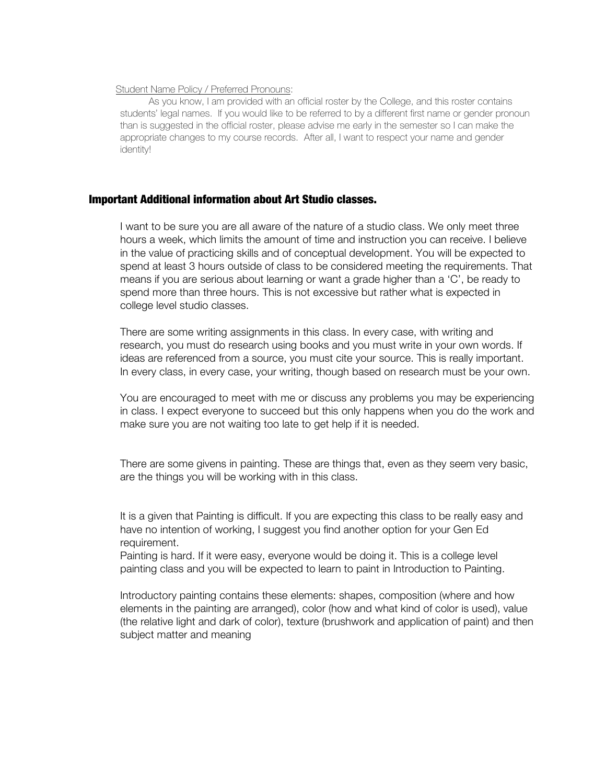#### Student Name Policy / Preferred Pronouns:

 As you know, I am provided with an official roster by the College, and this roster contains students' legal names. If you would like to be referred to by a different first name or gender pronoun than is suggested in the official roster, please advise me early in the semester so I can make the appropriate changes to my course records. After all, I want to respect your name and gender identity!

## Important Additional information about Art Studio classes.

I want to be sure you are all aware of the nature of a studio class. We only meet three hours a week, which limits the amount of time and instruction you can receive. I believe in the value of practicing skills and of conceptual development. You will be expected to spend at least 3 hours outside of class to be considered meeting the requirements. That means if you are serious about learning or want a grade higher than a 'C', be ready to spend more than three hours. This is not excessive but rather what is expected in college level studio classes.

There are some writing assignments in this class. In every case, with writing and research, you must do research using books and you must write in your own words. If ideas are referenced from a source, you must cite your source. This is really important. In every class, in every case, your writing, though based on research must be your own.

You are encouraged to meet with me or discuss any problems you may be experiencing in class. I expect everyone to succeed but this only happens when you do the work and make sure you are not waiting too late to get help if it is needed.

There are some givens in painting. These are things that, even as they seem very basic, are the things you will be working with in this class.

It is a given that Painting is difficult. If you are expecting this class to be really easy and have no intention of working, I suggest you find another option for your Gen Ed requirement.

Painting is hard. If it were easy, everyone would be doing it. This is a college level painting class and you will be expected to learn to paint in Introduction to Painting.

Introductory painting contains these elements: shapes, composition (where and how elements in the painting are arranged), color (how and what kind of color is used), value (the relative light and dark of color), texture (brushwork and application of paint) and then subject matter and meaning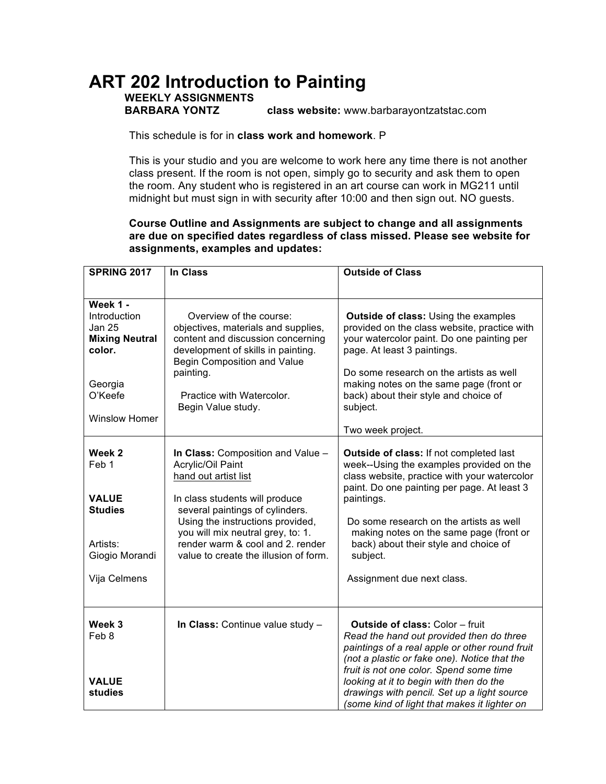# **ART 202 Introduction to Painting**

# **WEEKLY ASSIGNMENTS**

**BARBARA YONTZ class website:** www.barbarayontzatstac.com

This schedule is for in **class work and homework**. P

This is your studio and you are welcome to work here any time there is not another class present. If the room is not open, simply go to security and ask them to open the room. Any student who is registered in an art course can work in MG211 until midnight but must sign in with security after 10:00 and then sign out. NO guests.

**Course Outline and Assignments are subject to change and all assignments are due on specified dates regardless of class missed. Please see website for assignments, examples and updates:**

| <b>SPRING 2017</b>                                                                                                         | <b>In Class</b>                                                                                                                                                                                                                                                                                           | <b>Outside of Class</b>                                                                                                                                                                                                                                                                                                                                                   |
|----------------------------------------------------------------------------------------------------------------------------|-----------------------------------------------------------------------------------------------------------------------------------------------------------------------------------------------------------------------------------------------------------------------------------------------------------|---------------------------------------------------------------------------------------------------------------------------------------------------------------------------------------------------------------------------------------------------------------------------------------------------------------------------------------------------------------------------|
|                                                                                                                            |                                                                                                                                                                                                                                                                                                           |                                                                                                                                                                                                                                                                                                                                                                           |
| Week 1 -<br>Introduction<br><b>Jan 25</b><br><b>Mixing Neutral</b><br>color.<br>Georgia<br>O'Keefe<br><b>Winslow Homer</b> | Overview of the course:<br>objectives, materials and supplies,<br>content and discussion concerning<br>development of skills in painting.<br><b>Begin Composition and Value</b><br>painting.<br>Practice with Watercolor.<br>Begin Value study.                                                           | Outside of class: Using the examples<br>provided on the class website, practice with<br>your watercolor paint. Do one painting per<br>page. At least 3 paintings.<br>Do some research on the artists as well<br>making notes on the same page (front or<br>back) about their style and choice of<br>subject.                                                              |
|                                                                                                                            |                                                                                                                                                                                                                                                                                                           | Two week project.                                                                                                                                                                                                                                                                                                                                                         |
| Week 2<br>Feb 1<br><b>VALUE</b><br><b>Studies</b><br>Artists:<br>Giogio Morandi<br>Vija Celmens                            | In Class: Composition and Value -<br>Acrylic/Oil Paint<br>hand out artist list<br>In class students will produce<br>several paintings of cylinders.<br>Using the instructions provided,<br>you will mix neutral grey, to: 1.<br>render warm & cool and 2. render<br>value to create the illusion of form. | Outside of class: If not completed last<br>week--Using the examples provided on the<br>class website, practice with your watercolor<br>paint. Do one painting per page. At least 3<br>paintings.<br>Do some research on the artists as well<br>making notes on the same page (front or<br>back) about their style and choice of<br>subject.<br>Assignment due next class. |
| Week 3<br>Feb 8<br><b>VALUE</b><br>studies                                                                                 | In Class: Continue value study -                                                                                                                                                                                                                                                                          | Outside of class: Color - fruit<br>Read the hand out provided then do three<br>paintings of a real apple or other round fruit<br>(not a plastic or fake one). Notice that the<br>fruit is not one color. Spend some time<br>looking at it to begin with then do the<br>drawings with pencil. Set up a light source<br>(some kind of light that makes it lighter on        |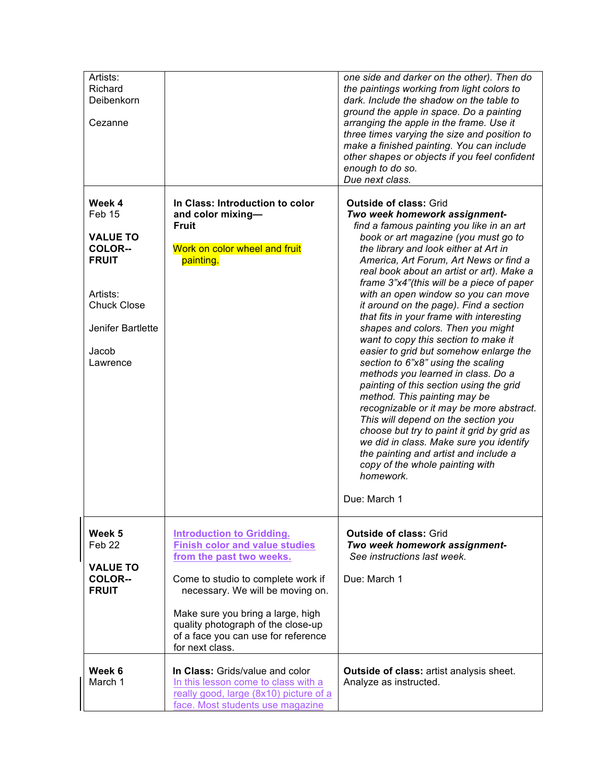| Artists:<br>Richard<br>Deibenkorn<br>Cezanne                                                                                                      |                                                                                                                                                                                 | one side and darker on the other). Then do<br>the paintings working from light colors to<br>dark. Include the shadow on the table to<br>ground the apple in space. Do a painting<br>arranging the apple in the frame. Use it<br>three times varying the size and position to<br>make a finished painting. You can include<br>other shapes or objects if you feel confident                                                                                                                                                                                                                                                                                                                                                                                                                                                                                                                                                                                                                                       |
|---------------------------------------------------------------------------------------------------------------------------------------------------|---------------------------------------------------------------------------------------------------------------------------------------------------------------------------------|------------------------------------------------------------------------------------------------------------------------------------------------------------------------------------------------------------------------------------------------------------------------------------------------------------------------------------------------------------------------------------------------------------------------------------------------------------------------------------------------------------------------------------------------------------------------------------------------------------------------------------------------------------------------------------------------------------------------------------------------------------------------------------------------------------------------------------------------------------------------------------------------------------------------------------------------------------------------------------------------------------------|
|                                                                                                                                                   |                                                                                                                                                                                 | enough to do so.<br>Due next class.                                                                                                                                                                                                                                                                                                                                                                                                                                                                                                                                                                                                                                                                                                                                                                                                                                                                                                                                                                              |
| Week 4<br>Feb 15<br><b>VALUE TO</b><br><b>COLOR--</b><br><b>FRUIT</b><br>Artists:<br><b>Chuck Close</b><br>Jenifer Bartlette<br>Jacob<br>Lawrence | In Class: Introduction to color<br>and color mixing-<br><b>Fruit</b><br>Work on color wheel and fruit<br>painting.                                                              | <b>Outside of class: Grid</b><br>Two week homework assignment-<br>find a famous painting you like in an art<br>book or art magazine (you must go to<br>the library and look either at Art in<br>America, Art Forum, Art News or find a<br>real book about an artist or art). Make a<br>frame 3"x4"(this will be a piece of paper<br>with an open window so you can move<br>it around on the page). Find a section<br>that fits in your frame with interesting<br>shapes and colors. Then you might<br>want to copy this section to make it<br>easier to grid but somehow enlarge the<br>section to 6"x8" using the scaling<br>methods you learned in class. Do a<br>painting of this section using the grid<br>method. This painting may be<br>recognizable or it may be more abstract.<br>This will depend on the section you<br>choose but try to paint it grid by grid as<br>we did in class. Make sure you identify<br>the painting and artist and include a<br>copy of the whole painting with<br>homework. |
|                                                                                                                                                   |                                                                                                                                                                                 | Due: March 1                                                                                                                                                                                                                                                                                                                                                                                                                                                                                                                                                                                                                                                                                                                                                                                                                                                                                                                                                                                                     |
| Week 5<br>Feb <sub>22</sub><br><b>VALUE TO</b><br><b>COLOR--</b><br><b>FRUIT</b>                                                                  | <b>Introduction to Gridding.</b><br><b>Finish color and value studies</b><br>from the past two weeks.<br>Come to studio to complete work if<br>necessary. We will be moving on. | <b>Outside of class: Grid</b><br>Two week homework assignment-<br>See instructions last week.<br>Due: March 1                                                                                                                                                                                                                                                                                                                                                                                                                                                                                                                                                                                                                                                                                                                                                                                                                                                                                                    |
|                                                                                                                                                   | Make sure you bring a large, high<br>quality photograph of the close-up<br>of a face you can use for reference<br>for next class.                                               |                                                                                                                                                                                                                                                                                                                                                                                                                                                                                                                                                                                                                                                                                                                                                                                                                                                                                                                                                                                                                  |
| Week 6<br>March 1                                                                                                                                 | In Class: Grids/value and color<br>In this lesson come to class with a<br>really good, large (8x10) picture of a<br>face. Most students use magazine                            | <b>Outside of class: artist analysis sheet.</b><br>Analyze as instructed.                                                                                                                                                                                                                                                                                                                                                                                                                                                                                                                                                                                                                                                                                                                                                                                                                                                                                                                                        |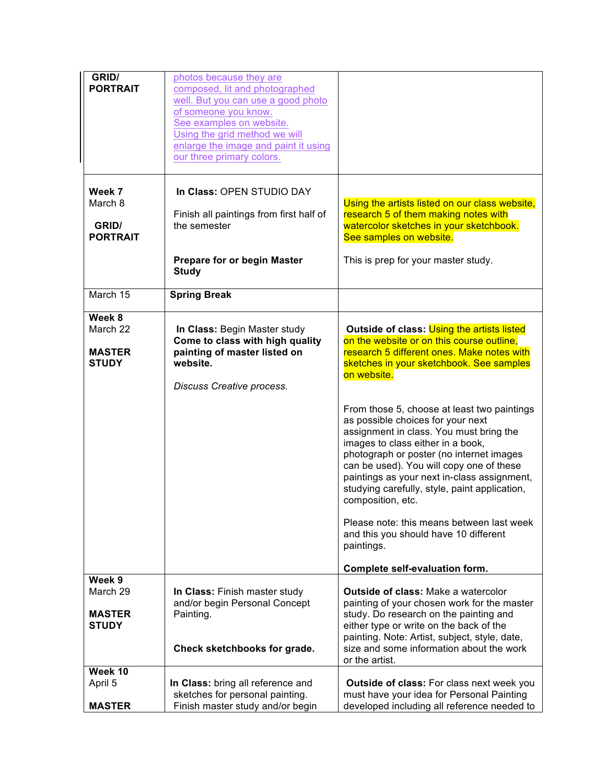| GRID/<br><b>PORTRAIT</b>                      | photos because they are<br>composed, lit and photographed<br>well. But you can use a good photo<br>of someone you know.<br>See examples on website.<br>Using the grid method we will<br>enlarge the image and paint it using<br>our three primary colors. |                                                                                                                                                                                                                                                                                                                                                                               |
|-----------------------------------------------|-----------------------------------------------------------------------------------------------------------------------------------------------------------------------------------------------------------------------------------------------------------|-------------------------------------------------------------------------------------------------------------------------------------------------------------------------------------------------------------------------------------------------------------------------------------------------------------------------------------------------------------------------------|
| Week 7<br>March 8<br>GRID/<br><b>PORTRAIT</b> | In Class: OPEN STUDIO DAY<br>Finish all paintings from first half of<br>the semester                                                                                                                                                                      | Using the artists listed on our class website,<br>research 5 of them making notes with<br>watercolor sketches in your sketchbook.<br>See samples on website.                                                                                                                                                                                                                  |
|                                               | <b>Prepare for or begin Master</b><br><b>Study</b>                                                                                                                                                                                                        | This is prep for your master study.                                                                                                                                                                                                                                                                                                                                           |
| March 15                                      | <b>Spring Break</b>                                                                                                                                                                                                                                       |                                                                                                                                                                                                                                                                                                                                                                               |
| Week 8                                        |                                                                                                                                                                                                                                                           |                                                                                                                                                                                                                                                                                                                                                                               |
| March 22                                      | In Class: Begin Master study                                                                                                                                                                                                                              | Outside of class: Using the artists listed                                                                                                                                                                                                                                                                                                                                    |
|                                               | Come to class with high quality                                                                                                                                                                                                                           | on the website or on this course outline.                                                                                                                                                                                                                                                                                                                                     |
| <b>MASTER</b><br><b>STUDY</b>                 | painting of master listed on<br>website.                                                                                                                                                                                                                  | research 5 different ones. Make notes with<br>sketches in your sketchbook. See samples<br>on website.                                                                                                                                                                                                                                                                         |
|                                               | Discuss Creative process.                                                                                                                                                                                                                                 |                                                                                                                                                                                                                                                                                                                                                                               |
|                                               |                                                                                                                                                                                                                                                           | From those 5, choose at least two paintings<br>as possible choices for your next<br>assignment in class. You must bring the<br>images to class either in a book,<br>photograph or poster (no internet images<br>can be used). You will copy one of these<br>paintings as your next in-class assignment,<br>studying carefully, style, paint application,<br>composition, etc. |
|                                               |                                                                                                                                                                                                                                                           | Please note: this means between last week<br>and this you should have 10 different<br>paintings.                                                                                                                                                                                                                                                                              |
|                                               |                                                                                                                                                                                                                                                           | Complete self-evaluation form.                                                                                                                                                                                                                                                                                                                                                |
| Week 9                                        |                                                                                                                                                                                                                                                           |                                                                                                                                                                                                                                                                                                                                                                               |
| March 29                                      | In Class: Finish master study<br>and/or begin Personal Concept                                                                                                                                                                                            | <b>Outside of class: Make a watercolor</b><br>painting of your chosen work for the master                                                                                                                                                                                                                                                                                     |
| <b>MASTER</b><br><b>STUDY</b>                 | Painting.                                                                                                                                                                                                                                                 | study. Do research on the painting and<br>either type or write on the back of the<br>painting. Note: Artist, subject, style, date,                                                                                                                                                                                                                                            |
|                                               | Check sketchbooks for grade.                                                                                                                                                                                                                              | size and some information about the work<br>or the artist.                                                                                                                                                                                                                                                                                                                    |
| Week 10                                       |                                                                                                                                                                                                                                                           |                                                                                                                                                                                                                                                                                                                                                                               |
| April 5                                       | In Class: bring all reference and                                                                                                                                                                                                                         | <b>Outside of class:</b> For class next week you                                                                                                                                                                                                                                                                                                                              |
|                                               | sketches for personal painting.                                                                                                                                                                                                                           | must have your idea for Personal Painting                                                                                                                                                                                                                                                                                                                                     |
| <b>MASTER</b>                                 | Finish master study and/or begin                                                                                                                                                                                                                          | developed including all reference needed to                                                                                                                                                                                                                                                                                                                                   |